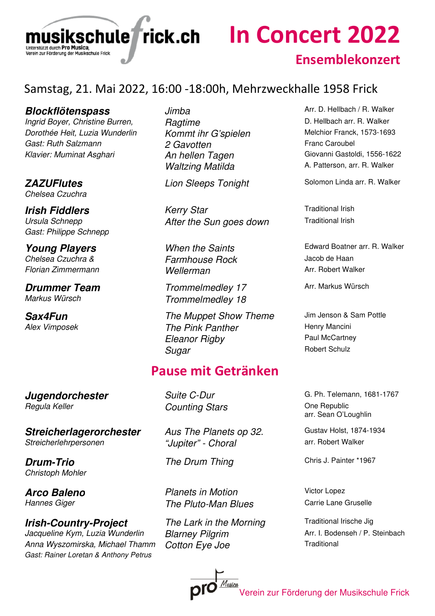

## **Ensemblekonzert**

## Samstag, 21. Mai 2022, 16:00 -18:00h, Mehrzweckhalle 1958 Frick

Ingrid Boyer, Christine Burren, Ragtime (1990) Research Controller (1990) D. Hellbach arr. R. Walker<br>Dorothée Heit. Luzia Wunderlin (1990) Kommt ihr G'spielen (1990) Melchior Franck, 1573-1693 Gast: Ruth Salzmann **2 Gavotten** Pranc Caroubel

Chelsea Czuchra

# Gast: Philippe Schnepp

Chelsea Czuchra & Farmhouse Rock Jacob de Haan<br>Florian Zimmermann Mellerman Florian Zimmermann Mellerman

Kommt ihr G'spielen **Waltzing Matilda** 

**Irish Fiddlers** Kerry Star Traditional Irish After the Sun goes down

**Drummer Team** Trommelmedley 17 Trommer Team Markus Würsch **Trommelmedley** 18

**Sax4Fun** The Muppet Show Theme Jim Jenson & Sam Pottle Alex Vimposek The Pink Panther Henry Mancini Eleanor Rigby Paul McCartney Sugar Robert Schulz

# **Pause mit Getränken**

**Arco Baleno Planets in Motion** Victor Lopez Hannes Giger The Pluto-Man Blues Carrie Lane Gruselle



**Blockflötenspass** Jimba Arr. D. Hellbach / R. Walker Klavier: Muminat Asghari *An hellen Tagen* Giovanni Gastoldi, 1556-1622<br>Maltzing Matilda (An Antilda A. Patterson, arr. R. Walker

**ZAZUFlutes Lion Sleeps Tonight** Solomon Linda arr. R. Walker

**Young Players When the Saints Edward Boatner arr. R. Walker** 

**Jugendorchester** Suite C-Dur G. Ph. Telemann, 1681-1767 arr. Sean O'Loughlin

**Drum-Trio** The Drum Thing Chris J. Painter \*1967

Regula Keller **Counting Stars** Counting Stars One Republic

**Streicherlagerorchester** Aus The Planets op 32. Gustav Holst, 1874-1934 Streicherlehrpersonen **"Jupiter"** - Choral arr. Robert Walker

Christoph Mohler

**Irish-Country-Project** The Lark in the Morning Traditional Irische Jig<br>Jacqueline Kym. Luzia Wunderlin Rlarney Pilorim (alternational Art. I. Bodenseh / P. Steinbach) Jacqueline Kym, Luzia Wunderlin Blarney Pilgrim Anna Wyszomirska, Michael Thamm Cotton Eye Joe Traditional Gast: Rainer Loretan & Anthony Petrus